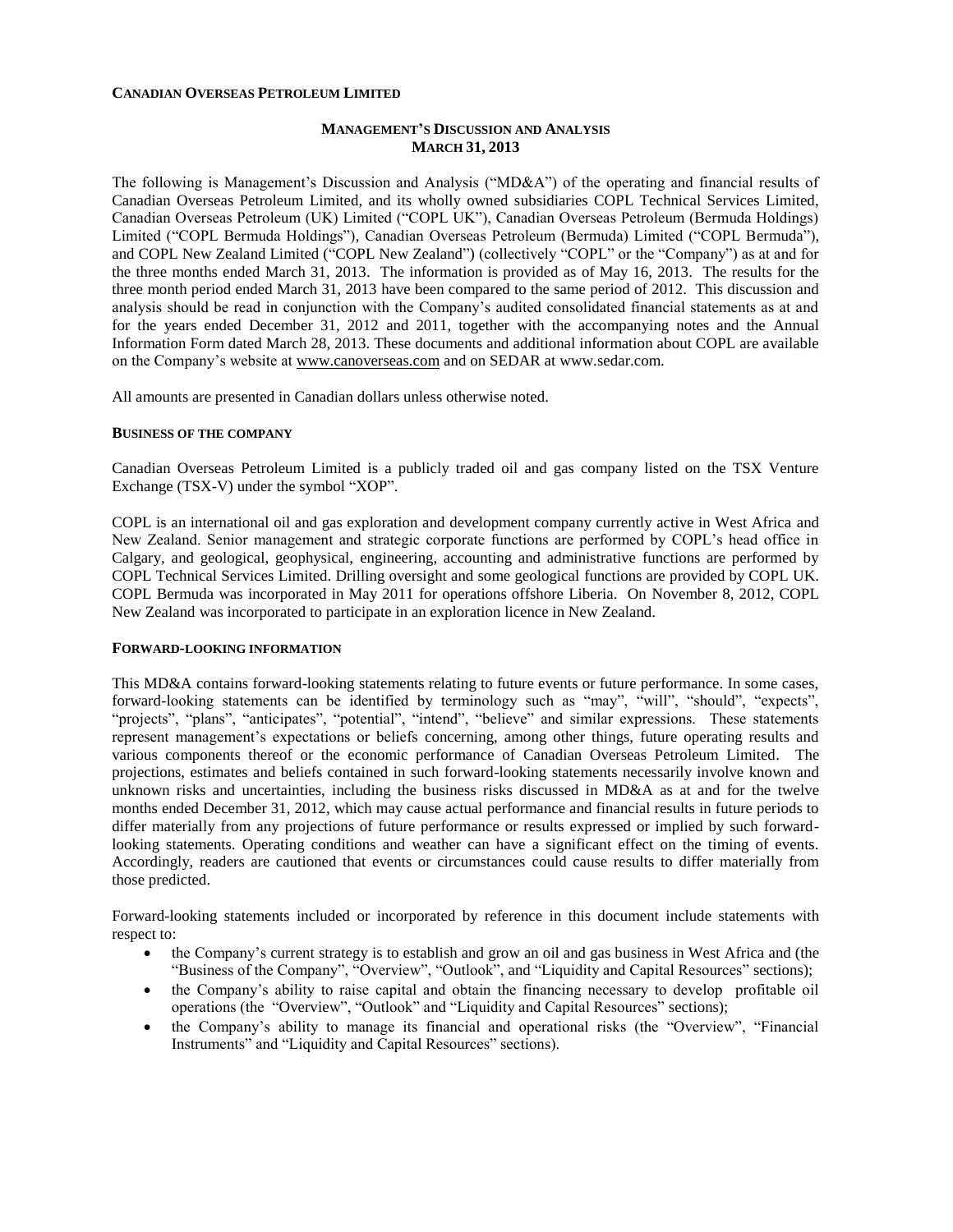#### **CANADIAN OVERSEAS PETROLEUM LIMITED**

## **MANAGEMENT'S DISCUSSION AND ANALYSIS MARCH 31, 2013**

The following is Management's Discussion and Analysis ("MD&A") of the operating and financial results of Canadian Overseas Petroleum Limited, and its wholly owned subsidiaries COPL Technical Services Limited, Canadian Overseas Petroleum (UK) Limited ("COPL UK"), Canadian Overseas Petroleum (Bermuda Holdings) Limited ("COPL Bermuda Holdings"), Canadian Overseas Petroleum (Bermuda) Limited ("COPL Bermuda"), and COPL New Zealand Limited ("COPL New Zealand") (collectively "COPL" or the "Company") as at and for the three months ended March 31, 2013. The information is provided as of May 16, 2013. The results for the three month period ended March 31, 2013 have been compared to the same period of 2012. This discussion and analysis should be read in conjunction with the Company's audited consolidated financial statements as at and for the years ended December 31, 2012 and 2011, together with the accompanying notes and the Annual Information Form dated March 28, 2013. These documents and additional information about COPL are available on the Company's website at [www.canoverseas.com](http://www.canoverseas.com/) and on SEDAR a[t www.sedar.com.](http://www.sedar.com/)

All amounts are presented in Canadian dollars unless otherwise noted.

#### **BUSINESS OF THE COMPANY**

Canadian Overseas Petroleum Limited is a publicly traded oil and gas company listed on the TSX Venture Exchange (TSX-V) under the symbol "XOP".

COPL is an international oil and gas exploration and development company currently active in West Africa and New Zealand. Senior management and strategic corporate functions are performed by COPL's head office in Calgary, and geological, geophysical, engineering, accounting and administrative functions are performed by COPL Technical Services Limited. Drilling oversight and some geological functions are provided by COPL UK. COPL Bermuda was incorporated in May 2011 for operations offshore Liberia. On November 8, 2012, COPL New Zealand was incorporated to participate in an exploration licence in New Zealand.

#### **FORWARD-LOOKING INFORMATION**

This MD&A contains forward-looking statements relating to future events or future performance. In some cases, forward-looking statements can be identified by terminology such as "may", "will", "should", "expects", "projects", "plans", "anticipates", "potential", "intend", "believe" and similar expressions. These statements represent management's expectations or beliefs concerning, among other things, future operating results and various components thereof or the economic performance of Canadian Overseas Petroleum Limited. The projections, estimates and beliefs contained in such forward-looking statements necessarily involve known and unknown risks and uncertainties, including the business risks discussed in MD&A as at and for the twelve months ended December 31, 2012, which may cause actual performance and financial results in future periods to differ materially from any projections of future performance or results expressed or implied by such forwardlooking statements. Operating conditions and weather can have a significant effect on the timing of events. Accordingly, readers are cautioned that events or circumstances could cause results to differ materially from those predicted.

Forward-looking statements included or incorporated by reference in this document include statements with respect to:

- the Company's current strategy is to establish and grow an oil and gas business in West Africa and (the "Business of the Company", "Overview", "Outlook", and "Liquidity and Capital Resources" sections);
- the Company's ability to raise capital and obtain the financing necessary to develop profitable oil operations (the "Overview", "Outlook" and "Liquidity and Capital Resources" sections);
- the Company's ability to manage its financial and operational risks (the "Overview", "Financial Instruments" and "Liquidity and Capital Resources" sections).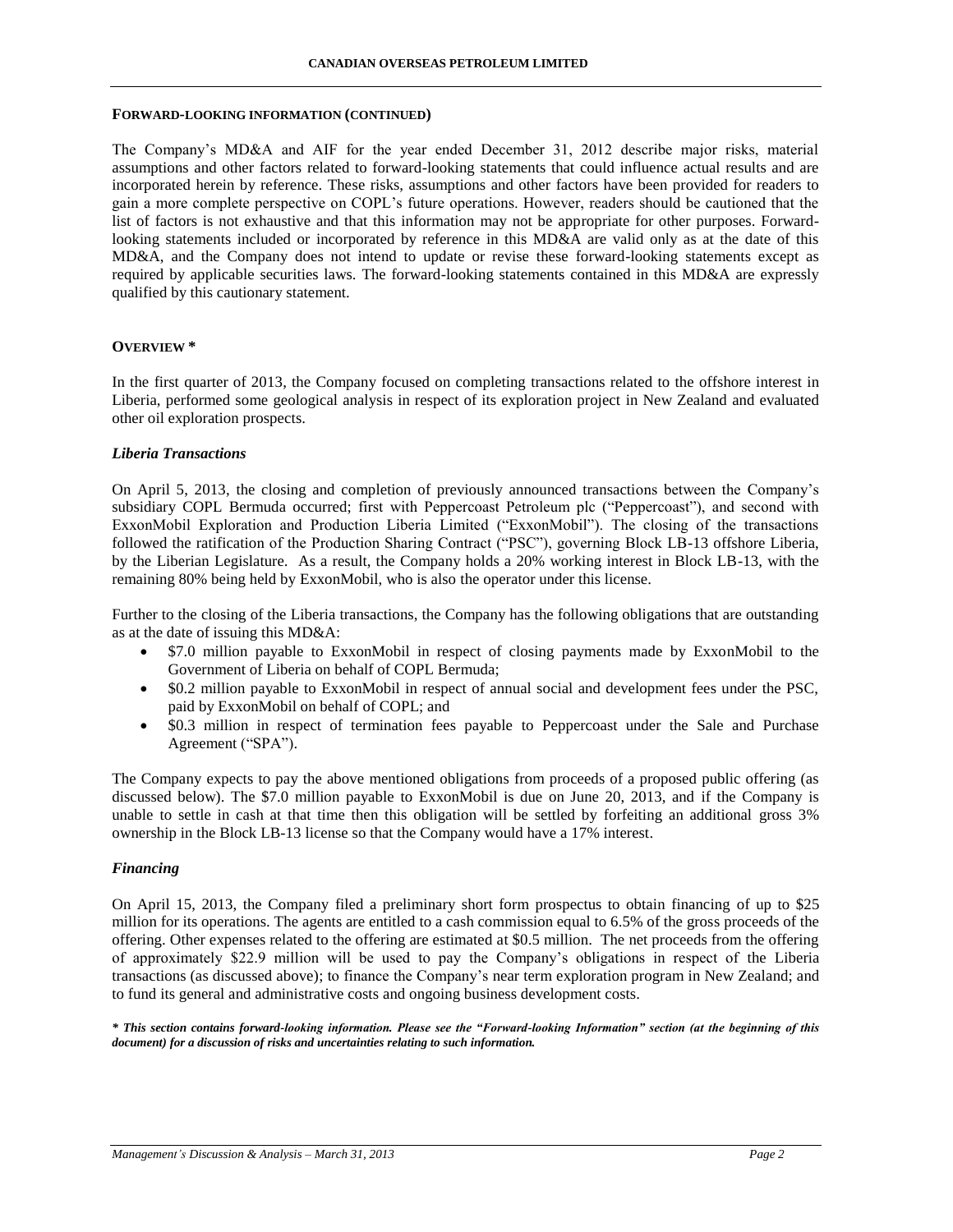#### **FORWARD-LOOKING INFORMATION (CONTINUED)**

The Company's MD&A and AIF for the year ended December 31, 2012 describe major risks, material assumptions and other factors related to forward-looking statements that could influence actual results and are incorporated herein by reference. These risks, assumptions and other factors have been provided for readers to gain a more complete perspective on COPL's future operations. However, readers should be cautioned that the list of factors is not exhaustive and that this information may not be appropriate for other purposes. Forwardlooking statements included or incorporated by reference in this MD&A are valid only as at the date of this MD&A, and the Company does not intend to update or revise these forward-looking statements except as required by applicable securities laws. The forward-looking statements contained in this MD&A are expressly qualified by this cautionary statement.

## **OVERVIEW \***

In the first quarter of 2013, the Company focused on completing transactions related to the offshore interest in Liberia, performed some geological analysis in respect of its exploration project in New Zealand and evaluated other oil exploration prospects.

# *Liberia Transactions*

On April 5, 2013, the closing and completion of previously announced transactions between the Company's subsidiary COPL Bermuda occurred; first with Peppercoast Petroleum plc ("Peppercoast"), and second with ExxonMobil Exploration and Production Liberia Limited ("ExxonMobil"). The closing of the transactions followed the ratification of the Production Sharing Contract ("PSC"), governing Block LB-13 offshore Liberia, by the Liberian Legislature. As a result, the Company holds a 20% working interest in Block LB-13, with the remaining 80% being held by ExxonMobil, who is also the operator under this license.

Further to the closing of the Liberia transactions, the Company has the following obligations that are outstanding as at the date of issuing this MD&A:

- \$7.0 million payable to ExxonMobil in respect of closing payments made by ExxonMobil to the Government of Liberia on behalf of COPL Bermuda;
- \$0.2 million payable to ExxonMobil in respect of annual social and development fees under the PSC, paid by ExxonMobil on behalf of COPL; and
- \$0.3 million in respect of termination fees payable to Peppercoast under the Sale and Purchase Agreement ("SPA").

The Company expects to pay the above mentioned obligations from proceeds of a proposed public offering (as discussed below). The \$7.0 million payable to ExxonMobil is due on June 20, 2013, and if the Company is unable to settle in cash at that time then this obligation will be settled by forfeiting an additional gross 3% ownership in the Block LB-13 license so that the Company would have a 17% interest.

### *Financing*

On April 15, 2013, the Company filed a preliminary short form prospectus to obtain financing of up to \$25 million for its operations. The agents are entitled to a cash commission equal to 6.5% of the gross proceeds of the offering. Other expenses related to the offering are estimated at \$0.5 million. The net proceeds from the offering of approximately \$22.9 million will be used to pay the Company's obligations in respect of the Liberia transactions (as discussed above); to finance the Company's near term exploration program in New Zealand; and to fund its general and administrative costs and ongoing business development costs.

*\* This section contains forward-looking information. Please see the "Forward-looking Information" section (at the beginning of this document) for a discussion of risks and uncertainties relating to such information.*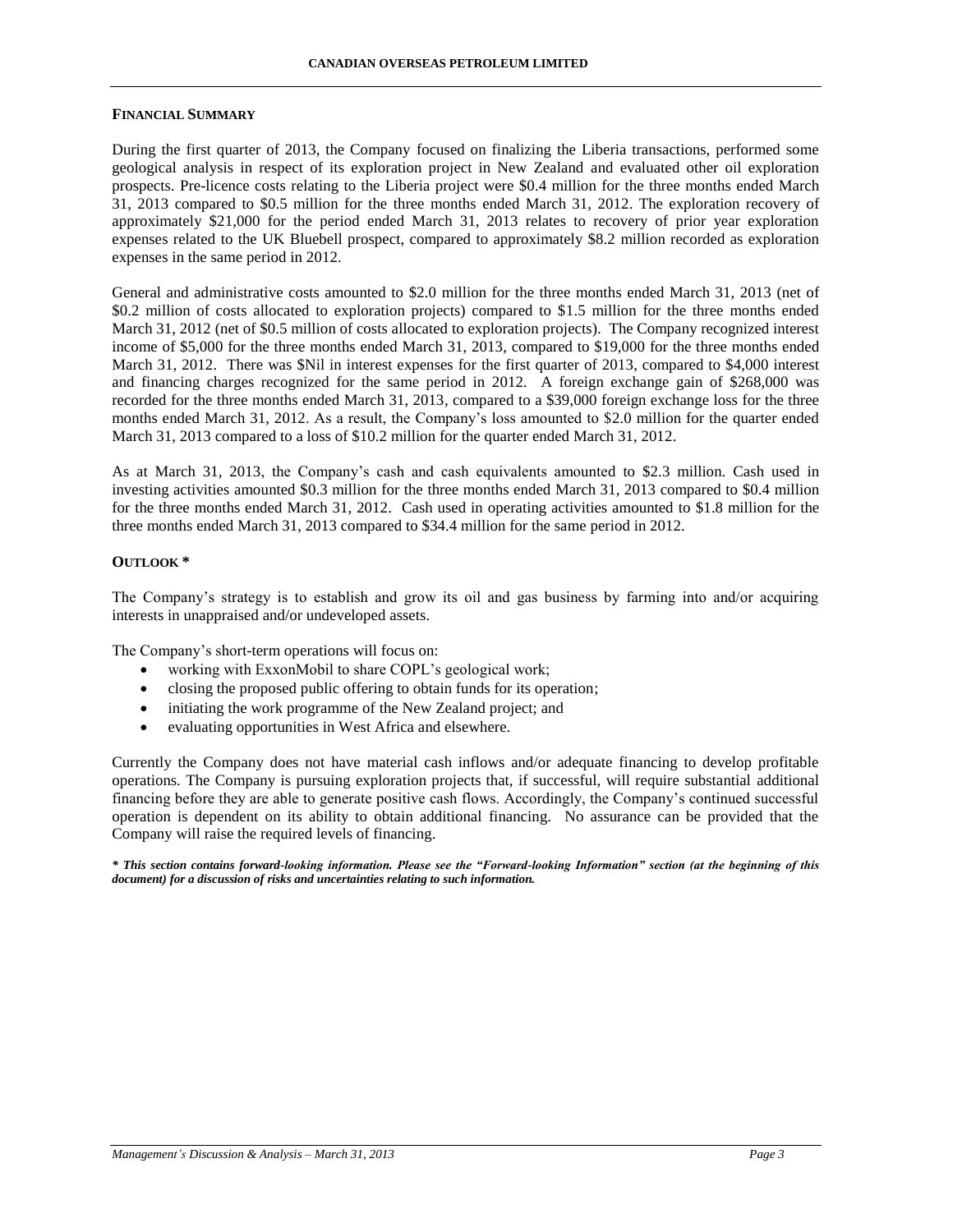### **FINANCIAL SUMMARY**

During the first quarter of 2013, the Company focused on finalizing the Liberia transactions, performed some geological analysis in respect of its exploration project in New Zealand and evaluated other oil exploration prospects. Pre-licence costs relating to the Liberia project were \$0.4 million for the three months ended March 31, 2013 compared to \$0.5 million for the three months ended March 31, 2012. The exploration recovery of approximately \$21,000 for the period ended March 31, 2013 relates to recovery of prior year exploration expenses related to the UK Bluebell prospect, compared to approximately \$8.2 million recorded as exploration expenses in the same period in 2012.

General and administrative costs amounted to \$2.0 million for the three months ended March 31, 2013 (net of \$0.2 million of costs allocated to exploration projects) compared to \$1.5 million for the three months ended March 31, 2012 (net of \$0.5 million of costs allocated to exploration projects). The Company recognized interest income of \$5,000 for the three months ended March 31, 2013, compared to \$19,000 for the three months ended March 31, 2012. There was \$Nil in interest expenses for the first quarter of 2013, compared to \$4,000 interest and financing charges recognized for the same period in 2012. A foreign exchange gain of \$268,000 was recorded for the three months ended March 31, 2013, compared to a \$39,000 foreign exchange loss for the three months ended March 31, 2012. As a result, the Company's loss amounted to \$2.0 million for the quarter ended March 31, 2013 compared to a loss of \$10.2 million for the quarter ended March 31, 2012.

As at March 31, 2013, the Company's cash and cash equivalents amounted to \$2.3 million. Cash used in investing activities amounted \$0.3 million for the three months ended March 31, 2013 compared to \$0.4 million for the three months ended March 31, 2012. Cash used in operating activities amounted to \$1.8 million for the three months ended March 31, 2013 compared to \$34.4 million for the same period in 2012.

## **OUTLOOK \***

The Company's strategy is to establish and grow its oil and gas business by farming into and/or acquiring interests in unappraised and/or undeveloped assets.

The Company's short-term operations will focus on:

- working with ExxonMobil to share COPL's geological work;
- closing the proposed public offering to obtain funds for its operation;
- initiating the work programme of the New Zealand project; and
- evaluating opportunities in West Africa and elsewhere.

Currently the Company does not have material cash inflows and/or adequate financing to develop profitable operations. The Company is pursuing exploration projects that, if successful, will require substantial additional financing before they are able to generate positive cash flows. Accordingly, the Company's continued successful operation is dependent on its ability to obtain additional financing. No assurance can be provided that the Company will raise the required levels of financing.

*\* This section contains forward-looking information. Please see the "Forward-looking Information" section (at the beginning of this document) for a discussion of risks and uncertainties relating to such information.*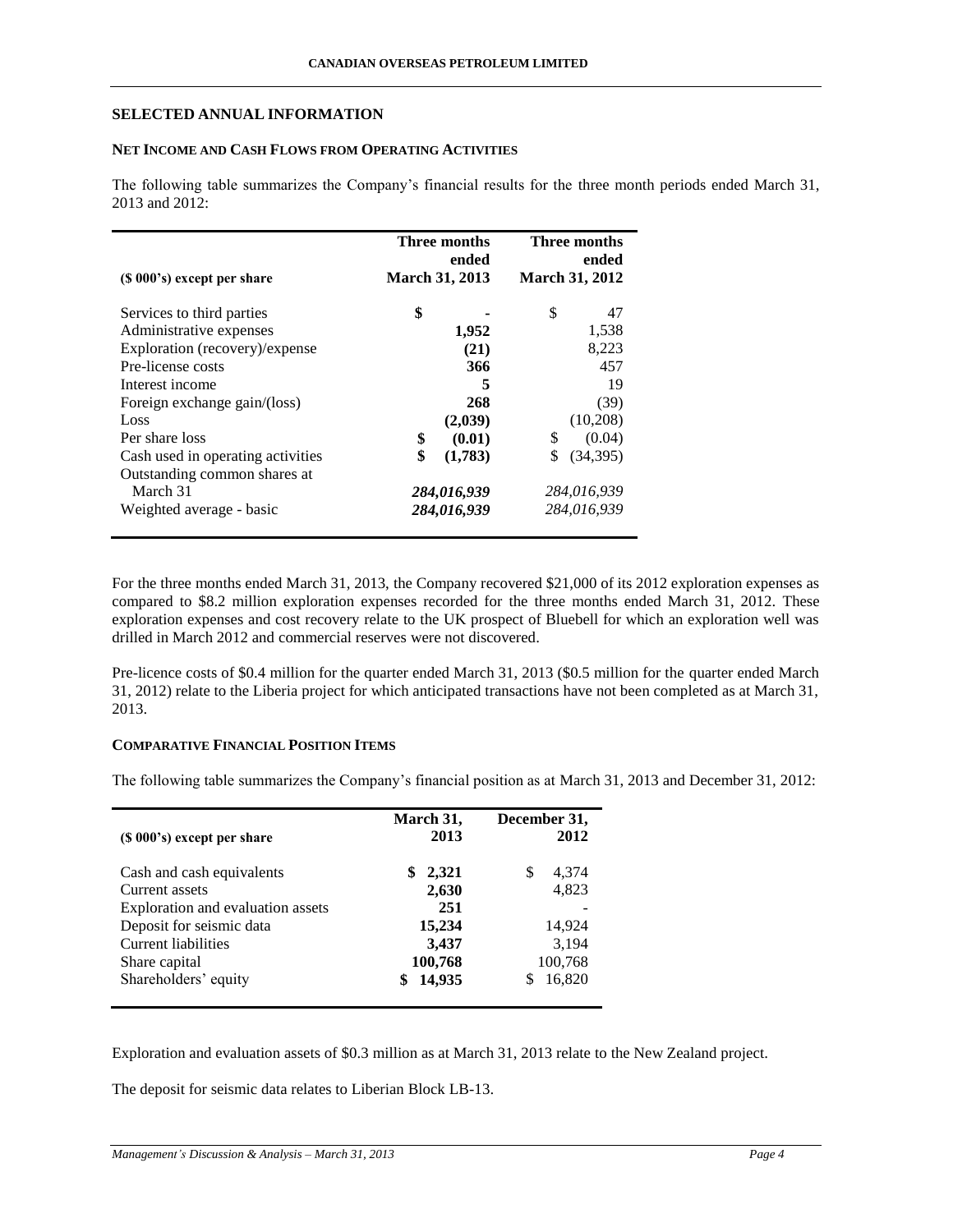## **SELECTED ANNUAL INFORMATION**

## **NET INCOME AND CASH FLOWS FROM OPERATING ACTIVITIES**

The following table summarizes the Company's financial results for the three month periods ended March 31, 2013 and 2012:

| $(S 000's)$ except per share      | Three months<br>ended<br><b>March 31, 2013</b> | Three months<br>ended<br><b>March 31, 2012</b> |
|-----------------------------------|------------------------------------------------|------------------------------------------------|
| Services to third parties         | \$                                             | \$<br>47                                       |
| Administrative expenses           | 1,952                                          | 1,538                                          |
| Exploration (recovery)/expense    | (21)                                           | 8,223                                          |
| Pre-license costs                 | 366                                            | 457                                            |
| Interest income                   | 5                                              | 19                                             |
| Foreign exchange gain/(loss)      | 268                                            | (39)                                           |
| Loss                              | (2,039)                                        | (10,208)                                       |
| Per share loss                    | \$<br>(0.01)                                   | \$<br>(0.04)                                   |
| Cash used in operating activities | \$<br>(1,783)                                  | \$<br>(34,395)                                 |
| Outstanding common shares at      |                                                |                                                |
| March 31                          | 284,016,939                                    | 284,016,939                                    |
| Weighted average - basic          | 284,016,939                                    | 284,016,939                                    |

For the three months ended March 31, 2013, the Company recovered \$21,000 of its 2012 exploration expenses as compared to \$8.2 million exploration expenses recorded for the three months ended March 31, 2012. These exploration expenses and cost recovery relate to the UK prospect of Bluebell for which an exploration well was drilled in March 2012 and commercial reserves were not discovered.

Pre-licence costs of \$0.4 million for the quarter ended March 31, 2013 (\$0.5 million for the quarter ended March 31, 2012) relate to the Liberia project for which anticipated transactions have not been completed as at March 31, 2013.

## **COMPARATIVE FINANCIAL POSITION ITEMS**

The following table summarizes the Company's financial position as at March 31, 2013 and December 31, 2012:

| $(S 000's)$ except per share      | March 31,<br>2013 | December 31,<br>2012 |
|-----------------------------------|-------------------|----------------------|
| Cash and cash equivalents         | 2,321<br>S        | 4,374<br>\$          |
| Current assets                    | 2,630             | 4,823                |
| Exploration and evaluation assets | 251               |                      |
| Deposit for seismic data          | 15,234            | 14,924               |
| <b>Current liabilities</b>        | 3,437             | 3,194                |
| Share capital                     | 100,768           | 100,768              |
| Shareholders' equity              | 14,935            | 16,820               |

Exploration and evaluation assets of \$0.3 million as at March 31, 2013 relate to the New Zealand project.

The deposit for seismic data relates to Liberian Block LB-13.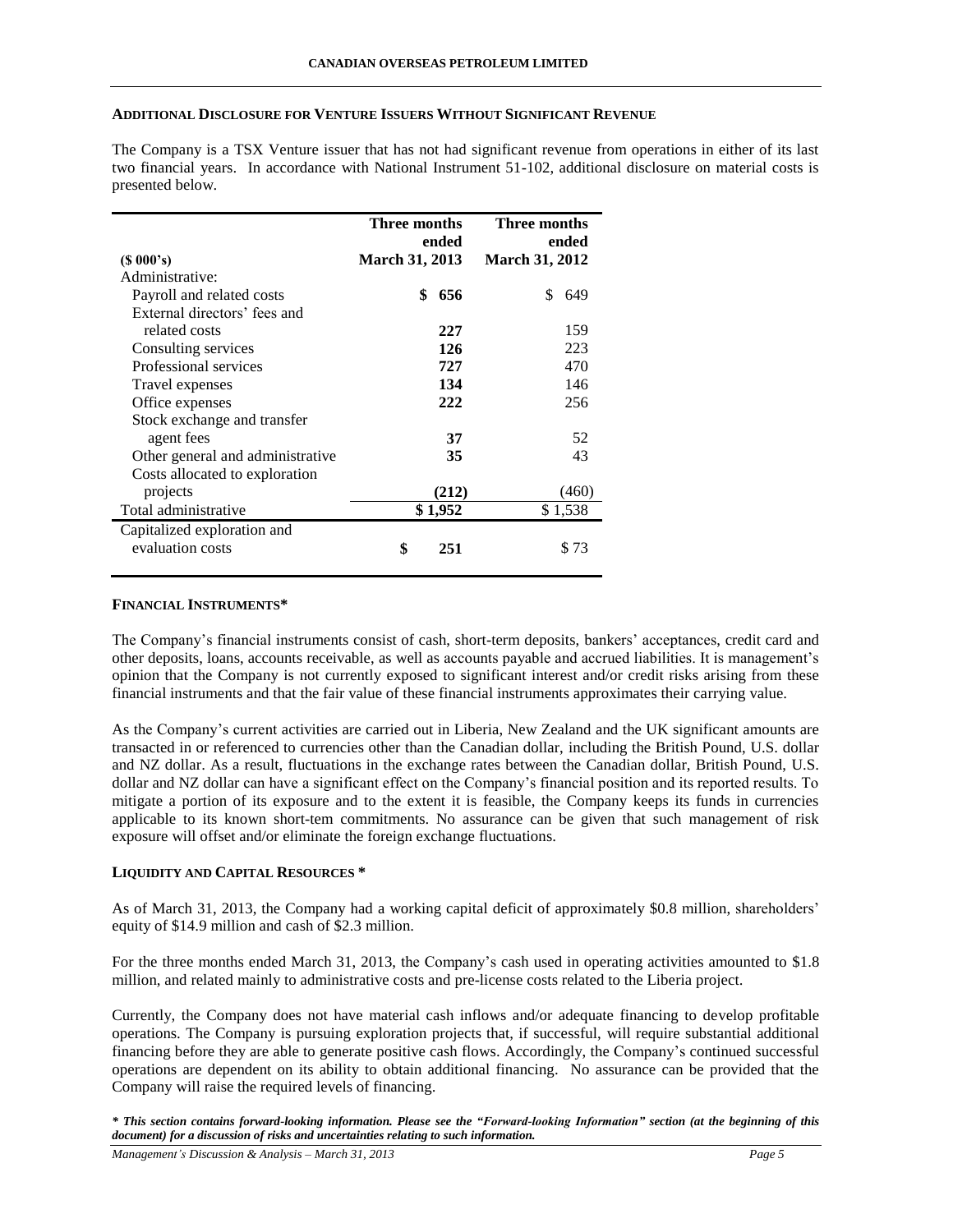### **ADDITIONAL DISCLOSURE FOR VENTURE ISSUERS WITHOUT SIGNIFICANT REVENUE**

The Company is a TSX Venture issuer that has not had significant revenue from operations in either of its last two financial years. In accordance with National Instrument 51-102, additional disclosure on material costs is presented below.

|                                  | Three months          | Three months          |
|----------------------------------|-----------------------|-----------------------|
|                                  | ended                 | ended                 |
| $(S\ 000's)$                     | <b>March 31, 2013</b> | <b>March 31, 2012</b> |
| Administrative:                  |                       |                       |
| Payroll and related costs        | \$<br>656             | S<br>649              |
| External directors' fees and     |                       |                       |
| related costs                    | 227                   | 159                   |
| Consulting services              | 126                   | 223                   |
| Professional services            | 727                   | 470                   |
| Travel expenses                  | 134                   | 146                   |
| Office expenses                  | 222                   | 256                   |
| Stock exchange and transfer      |                       |                       |
| agent fees                       | 37                    | 52                    |
| Other general and administrative | 35                    | 43                    |
| Costs allocated to exploration   |                       |                       |
| projects                         | (212)                 | (460)                 |
| Total administrative             | \$1,952               | \$1,538               |
| Capitalized exploration and      |                       |                       |
| evaluation costs                 | \$<br>251             | \$73                  |

### **FINANCIAL INSTRUMENTS\***

The Company's financial instruments consist of cash, short-term deposits, bankers' acceptances, credit card and other deposits, loans, accounts receivable, as well as accounts payable and accrued liabilities. It is management's opinion that the Company is not currently exposed to significant interest and/or credit risks arising from these financial instruments and that the fair value of these financial instruments approximates their carrying value.

As the Company's current activities are carried out in Liberia, New Zealand and the UK significant amounts are transacted in or referenced to currencies other than the Canadian dollar, including the British Pound, U.S. dollar and NZ dollar. As a result, fluctuations in the exchange rates between the Canadian dollar, British Pound, U.S. dollar and NZ dollar can have a significant effect on the Company's financial position and its reported results. To mitigate a portion of its exposure and to the extent it is feasible, the Company keeps its funds in currencies applicable to its known short-tem commitments. No assurance can be given that such management of risk exposure will offset and/or eliminate the foreign exchange fluctuations.

### **LIQUIDITY AND CAPITAL RESOURCES \***

As of March 31, 2013, the Company had a working capital deficit of approximately \$0.8 million, shareholders' equity of \$14.9 million and cash of \$2.3 million.

For the three months ended March 31, 2013, the Company's cash used in operating activities amounted to \$1.8 million, and related mainly to administrative costs and pre-license costs related to the Liberia project.

Currently, the Company does not have material cash inflows and/or adequate financing to develop profitable operations. The Company is pursuing exploration projects that, if successful, will require substantial additional financing before they are able to generate positive cash flows. Accordingly, the Company's continued successful operations are dependent on its ability to obtain additional financing. No assurance can be provided that the Company will raise the required levels of financing.

*\* This section contains forward-looking information. Please see the "Forward-looking Information" section (at the beginning of this document) for a discussion of risks and uncertainties relating to such information.*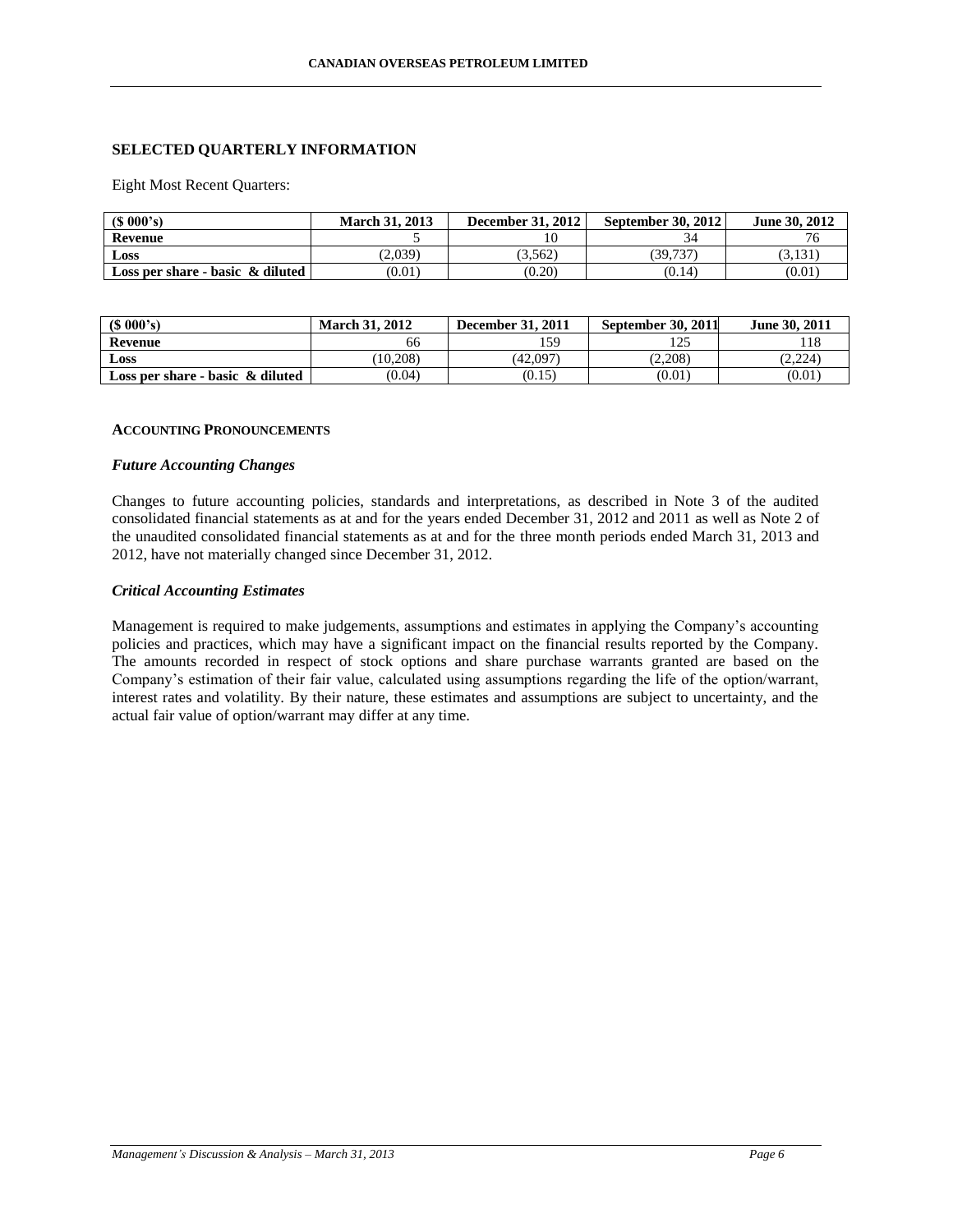# **SELECTED QUARTERLY INFORMATION**

Eight Most Recent Quarters:

| $(S\ 000's)$                        | <b>March 31, 2013</b> | <b>December 31, 2012</b> | <b>September 30, 2012</b> | June 30, 2012 |
|-------------------------------------|-----------------------|--------------------------|---------------------------|---------------|
| Revenue                             |                       |                          |                           |               |
| Loss                                | (2.039)               | (3.562)                  | (39.737)                  | 3.131         |
| Loss per share - basic $\&$ diluted | (0.01)                | (0.20)                   | (0.14)                    | (0.01)        |

| \$000's                             | <b>March 31, 2012</b> | <b>December 31, 2011</b> | September 30, 2011 | June 30, 2011 |
|-------------------------------------|-----------------------|--------------------------|--------------------|---------------|
| Revenue                             | 66                    | 159                      |                    |               |
| <b>Loss</b>                         | (10.208)              | (42.097)                 | (2.208)            | (2.224)       |
| Loss per share - basic $\&$ diluted | (0.04)                | (0.15)                   | (0.01)             | (0.01)        |

### **ACCOUNTING PRONOUNCEMENTS**

#### *Future Accounting Changes*

Changes to future accounting policies, standards and interpretations, as described in Note 3 of the audited consolidated financial statements as at and for the years ended December 31, 2012 and 2011 as well as Note 2 of the unaudited consolidated financial statements as at and for the three month periods ended March 31, 2013 and 2012, have not materially changed since December 31, 2012.

### *Critical Accounting Estimates*

Management is required to make judgements, assumptions and estimates in applying the Company's accounting policies and practices, which may have a significant impact on the financial results reported by the Company. The amounts recorded in respect of stock options and share purchase warrants granted are based on the Company's estimation of their fair value, calculated using assumptions regarding the life of the option/warrant, interest rates and volatility. By their nature, these estimates and assumptions are subject to uncertainty, and the actual fair value of option/warrant may differ at any time.